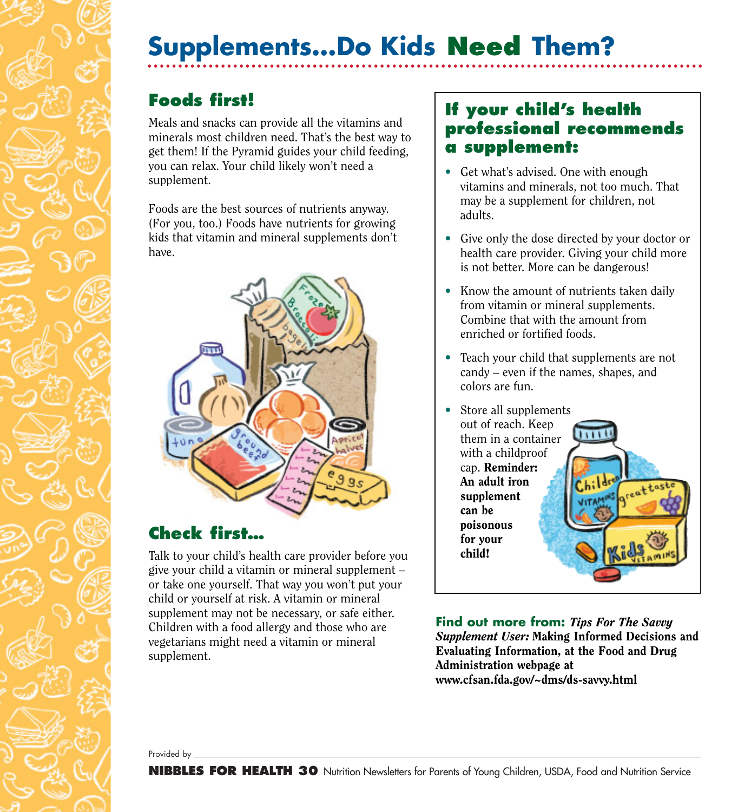# **Supplements…Do Kids Need Them?**

## **Foods first!**

Meals and snacks can provide all the vitamins and minerals most children need. That's the best way to get them! If the Pyramid guides your child feeding, you can relax. Your child likely won't need a supplement.

Foods are the best sources of nutrients anyway. (For you, too.) Foods have nutrients for growing kids that vitamin and mineral supplements don't have.



#### **Check first…**

Talk to your child's health care provider before you give your child a vitamin or mineral supplement – or take one yourself. That way you won't put your child or yourself at risk. A vitamin or mineral supplement may not be necessary, or safe either. Children with a food allergy and those who are vegetarians might need a vitamin or mineral supplement.

#### **If your child's health professional recommends a supplement:**

- Get what's advised. One with enough vitamins and minerals, not too much. That may be a supplement for children, not adults.
- Give only the dose directed by your doctor or health care provider. Giving your child more is not better. More can be dangerous!
- Know the amount of nutrients taken daily from vitamin or mineral supplements. Combine that with the amount from enriched or fortified foods.
- Teach your child that supplements are not candy – even if the names, shapes, and colors are fun.
- Store all supplements out of reach. Keep  $\overline{\mathbf{u}}$ them in a container with a childproof cap. Reminder: An adult iron supplement can be poisonous for your child!

**Find out more from:** *Tips For The Savvy Supplement User:* Making Informed Decisions and Evaluating Information, at the Food and Drug Administration webpage at www.cfsan.fda.gov/~dms/ds-savvy.html